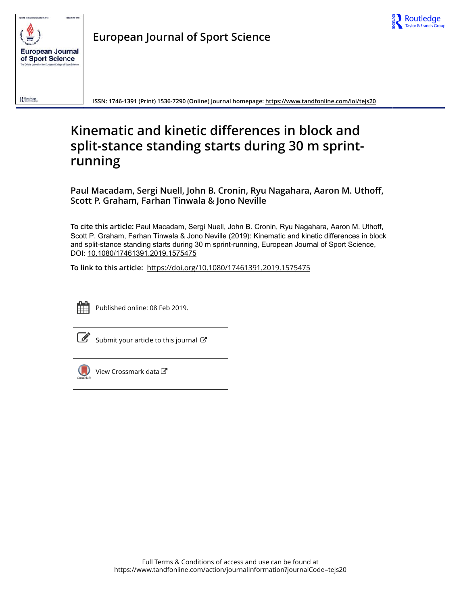



**European Journal of Sport Science**

**ISSN: 1746-1391 (Print) 1536-7290 (Online) Journal homepage:<https://www.tandfonline.com/loi/tejs20>**

# **Kinematic and kinetic differences in block and split-stance standing starts during 30 m sprintrunning**

**Paul Macadam, Sergi Nuell, John B. Cronin, Ryu Nagahara, Aaron M. Uthoff, Scott P. Graham, Farhan Tinwala & Jono Neville**

**To cite this article:** Paul Macadam, Sergi Nuell, John B. Cronin, Ryu Nagahara, Aaron M. Uthoff, Scott P. Graham, Farhan Tinwala & Jono Neville (2019): Kinematic and kinetic differences in block and split-stance standing starts during 30 m sprint-running, European Journal of Sport Science, DOI: [10.1080/17461391.2019.1575475](https://www.tandfonline.com/action/showCitFormats?doi=10.1080/17461391.2019.1575475)

**To link to this article:** <https://doi.org/10.1080/17461391.2019.1575475>



Published online: 08 Feb 2019.

[Submit your article to this journal](https://www.tandfonline.com/action/authorSubmission?journalCode=tejs20&show=instructions)  $\mathbb{Z}$ 



 $\bigcirc$  [View Crossmark data](http://crossmark.crossref.org/dialog/?doi=10.1080/17461391.2019.1575475&domain=pdf&date_stamp=2019-02-08) $\mathbb{Z}$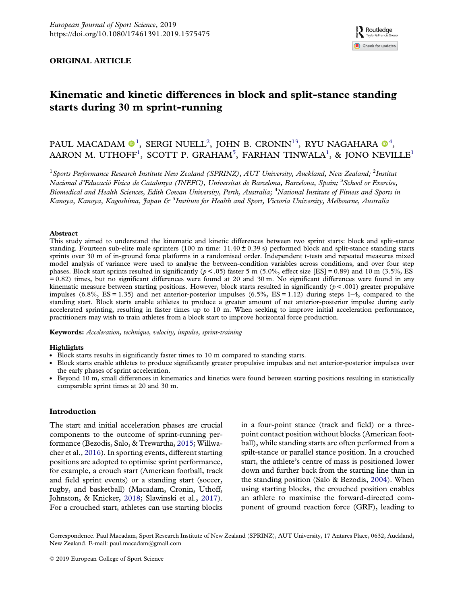

#### <span id="page-1-0"></span>ORIGINAL ARTICLE

## Kinematic and kinetic differences in block and split-stance standing starts during 30 m sprint-running

### PAUL MACADAM  $\mathbf{O}^1$ , SERGI NUELL<sup>2</sup>, JOHN B. CRONIN<sup>13</sup>, RYU NAGAHARA  $\mathbf{O}^4$ , AARON M. UTHOFF<sup>1</sup>, SCOTT P. GRAHAM<sup>5</sup>, FARHAN TINWALA<sup>1</sup>, & JONO NEVILLE<sup>1</sup>

<sup>1</sup>Sports Performance Research Institute New Zealand (SPRINZ), AUT University, Auckland, New Zealand; <sup>2</sup>Institut Nacional d'Educació Física de Catalunya (INEFC), Universitat de Barcelona, Barcelona, Spain; <sup>3</sup>School or Exercise, Biomedical and Health Sciences, Edith Cowan University, Perth, Australia; <sup>4</sup>National Institute of Fitness and Sports in Kanoya, Kanoya, Kagoshima, Japan & <sup>5</sup>Institute for Health and Sport, Victoria University, Melbourne, Australia

#### Abstract

This study aimed to understand the kinematic and kinetic differences between two sprint starts: block and split-stance standing. Fourteen sub-elite male sprinters (100 m time:  $11.40 \pm 0.39$  s) performed block and split-stance standing starts sprints over 30 m of in-ground force platforms in a randomised order. Independent t-tests and repeated measures mixed model analysis of variance were used to analyse the between-condition variables across conditions, and over four step phases. Block start sprints resulted in significantly ( $p < .05$ ) faster 5 m (5.0%, effect size [ES] = 0.89) and 10 m (3.5%, ES = 0.82) times, but no significant differences were found at 20 and 30 m. No significant differences were found in any kinematic measure between starting positions. However, block starts resulted in significantly ( $p < .001$ ) greater propulsive impulses  $(6.8\%, ES = 1.35)$  and net anterior-posterior impulses  $(6.5\%, ES = 1.12)$  during steps 1–4, compared to the standing start. Block starts enable athletes to produce a greater amount of net anterior-posterior impulse during early accelerated sprinting, resulting in faster times up to 10 m. When seeking to improve initial acceleration performance, practitioners may wish to train athletes from a block start to improve horizontal force production.

Keywords: Acceleration, technique, velocity, impulse, sprint-training

#### Highlights

- . Block starts results in significantly faster times to 10 m compared to standing starts.
- . Block starts enable athletes to produce significantly greater propulsive impulses and net anterior-posterior impulses over the early phases of sprint acceleration.
- . Beyond 10 m, small differences in kinematics and kinetics were found between starting positions resulting in statistically comparable sprint times at 20 and 30 m.

#### Introduction

The start and initial acceleration phases are crucial components to the outcome of sprint-running performance (Bezodis, Salo, & Trewartha, [2015](#page-7-0); Willwacher et al., [2016](#page-8-0)). In sporting events, different starting positions are adopted to optimise sprint performance, for example, a crouch start (American football, track and field sprint events) or a standing start (soccer, rugby, and basketball) (Macadam, Cronin, Uthoff, Johnston, & Knicker, [2018](#page-8-0); Slawinski et al., [2017\)](#page-8-0). For a crouched start, athletes can use starting blocks in a four-point stance (track and field) or a threepoint contact position without blocks (American football), while standing starts are often performed from a spilt-stance or parallel stance position. In a crouched start, the athlete's centre of mass is positioned lower down and further back from the starting line than in the standing position (Salo & Bezodis, [2004\)](#page-8-0). When using starting blocks, the crouched position enables an athlete to maximise the forward-directed component of ground reaction force (GRF), leading to

Correspondence. Paul Macadam, Sport Research Institute of New Zealand (SPRINZ), AUT University, 17 Antares Place, 0632, Auckland, New Zealand. E-mail: [paul.macadam@gmail.com](mailto:paul.macadam@gmail.com)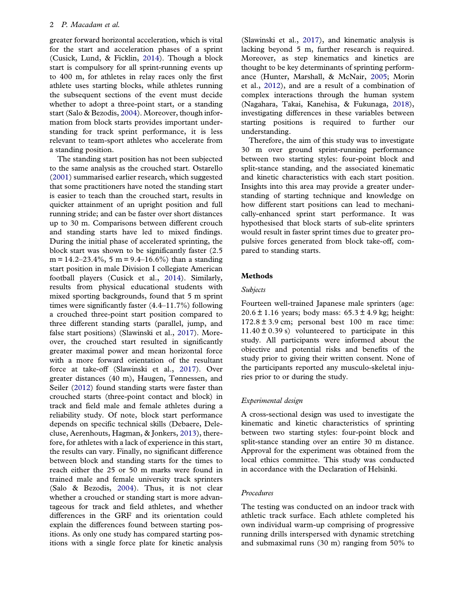<span id="page-2-0"></span>greater forward horizontal acceleration, which is vital for the start and acceleration phases of a sprint (Cusick, Lund, & Ficklin, [2014](#page-7-0)). Though a block start is compulsory for all sprint-running events up to 400 m, for athletes in relay races only the first athlete uses starting blocks, while athletes running the subsequent sections of the event must decide whether to adopt a three-point start, or a standing start (Salo & Bezodis, [2004](#page-8-0)). Moreover, though information from block starts provides important understanding for track sprint performance, it is less relevant to team-sport athletes who accelerate from a standing position.

The standing start position has not been subjected to the same analysis as the crouched start. Ostarello ([2001\)](#page-8-0) summarised earlier research, which suggested that some practitioners have noted the standing start is easier to teach than the crouched start, results in quicker attainment of an upright position and full running stride; and can be faster over short distances up to 30 m. Comparisons between different crouch and standing starts have led to mixed findings. During the initial phase of accelerated sprinting, the block start was shown to be significantly faster (2.5  $m = 14.2 - 23.4\%, 5 m = 9.4 - 16.6\%$  than a standing start position in male Division I collegiate American football players (Cusick et al., [2014\)](#page-7-0). Similarly, results from physical educational students with mixed sporting backgrounds, found that 5 m sprint times were significantly faster (4.4–11.7%) following a crouched three-point start position compared to three different standing starts (parallel, jump, and false start positions) (Slawinski et al., [2017\)](#page-8-0). Moreover, the crouched start resulted in significantly greater maximal power and mean horizontal force with a more forward orientation of the resultant force at take-off (Slawinski et al., [2017](#page-8-0)). Over greater distances (40 m), Haugen, Tønnessen, and Seiler [\(2012\)](#page-7-0) found standing starts were faster than crouched starts (three-point contact and block) in track and field male and female athletes during a reliability study. Of note, block start performance depends on specific technical skills (Debaere, Delecluse, Aerenhouts, Hagman, & Jonkers, [2013](#page-7-0)), therefore, for athletes with a lack of experience in this start, the results can vary. Finally, no significant difference between block and standing starts for the times to reach either the 25 or 50 m marks were found in trained male and female university track sprinters (Salo & Bezodis, [2004\)](#page-8-0). Thus, it is not clear whether a crouched or standing start is more advantageous for track and field athletes, and whether differences in the GRF and its orientation could explain the differences found between starting positions. As only one study has compared starting positions with a single force plate for kinetic analysis

(Slawinski et al., [2017](#page-8-0)), and kinematic analysis is lacking beyond 5 m, further research is required. Moreover, as step kinematics and kinetics are thought to be key determinants of sprinting performance (Hunter, Marshall, & McNair, [2005](#page-8-0); Morin et al., [2012\)](#page-8-0), and are a result of a combination of complex interactions through the human system (Nagahara, Takai, Kanehisa, & Fukunaga, [2018\)](#page-8-0), investigating differences in these variables between starting positions is required to further our understanding.

Therefore, the aim of this study was to investigate 30 m over ground sprint-running performance between two starting styles: four-point block and split-stance standing, and the associated kinematic and kinetic characteristics with each start position. Insights into this area may provide a greater understanding of starting technique and knowledge on how different start positions can lead to mechanically-enhanced sprint start performance. It was hypothesised that block starts of sub-elite sprinters would result in faster sprint times due to greater propulsive forces generated from block take-off, compared to standing starts.

#### Methods

#### Subjects

Fourteen well-trained Japanese male sprinters (age:  $20.6 \pm 1.16$  years; body mass:  $65.3 \pm 4.9$  kg; height:  $172.8 \pm 3.9$  cm; personal best 100 m race time:  $11.40 \pm 0.39$  s) volunteered to participate in this study. All participants were informed about the objective and potential risks and benefits of the study prior to giving their written consent. None of the participants reported any musculo-skeletal injuries prior to or during the study.

#### Experimental design

A cross-sectional design was used to investigate the kinematic and kinetic characteristics of sprinting between two starting styles: four-point block and split-stance standing over an entire 30 m distance. Approval for the experiment was obtained from the local ethics committee. This study was conducted in accordance with the Declaration of Helsinki.

#### Procedures

The testing was conducted on an indoor track with athletic track surface. Each athlete completed his own individual warm-up comprising of progressive running drills interspersed with dynamic stretching and submaximal runs (30 m) ranging from 50% to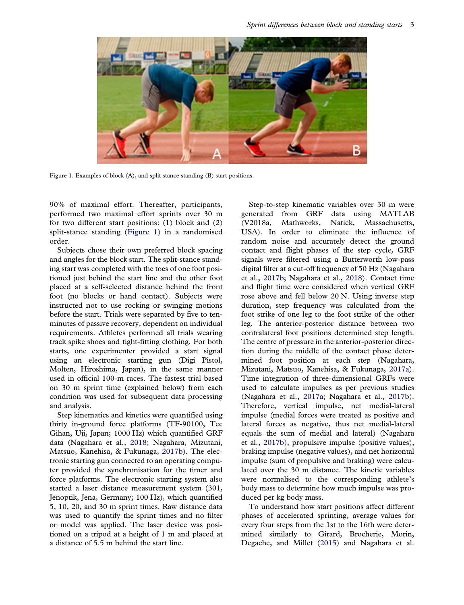<span id="page-3-0"></span>

Figure 1. Examples of block (A), and split stance standing (B) start positions.

90% of maximal effort. Thereafter, participants, performed two maximal effort sprints over 30 m for two different start positions: (1) block and (2) split-stance standing (Figure 1) in a randomised order.

Subjects chose their own preferred block spacing and angles for the block start. The split-stance standing start was completed with the toes of one foot positioned just behind the start line and the other foot placed at a self-selected distance behind the front foot (no blocks or hand contact). Subjects were instructed not to use rocking or swinging motions before the start. Trials were separated by five to tenminutes of passive recovery, dependent on individual requirements. Athletes performed all trials wearing track spike shoes and tight-fitting clothing. For both starts, one experimenter provided a start signal using an electronic starting gun (Digi Pistol, Molten, Hiroshima, Japan), in the same manner used in official 100-m races. The fastest trial based on 30 m sprint time (explained below) from each condition was used for subsequent data processing and analysis.

Step kinematics and kinetics were quantified using thirty in-ground force platforms (TF-90100, Tec Gihan, Uji, Japan; 1000 Hz) which quantified GRF data (Nagahara et al., [2018;](#page-8-0) Nagahara, Mizutani, Matsuo, Kanehisa, & Fukunaga, [2017b](#page-8-0)). The electronic starting gun connected to an operating computer provided the synchronisation for the timer and force platforms. The electronic starting system also started a laser distance measurement system (301, Jenoptik, Jena, Germany; 100 Hz), which quantified 5, 10, 20, and 30 m sprint times. Raw distance data was used to quantify the sprint times and no filter or model was applied. The laser device was positioned on a tripod at a height of 1 m and placed at a distance of 5.5 m behind the start line.

Step-to-step kinematic variables over 30 m were generated from GRF data using MATLAB (V2018a, Mathworks, Natick, Massachusetts, USA). In order to eliminate the influence of random noise and accurately detect the ground contact and flight phases of the step cycle, GRF signals were filtered using a Butterworth low-pass digital filter at a cut-off frequency of 50 Hz (Nagahara et al., [2017b](#page-8-0); Nagahara et al., [2018\)](#page-8-0). Contact time and flight time were considered when vertical GRF rose above and fell below 20 N. Using inverse step duration, step frequency was calculated from the foot strike of one leg to the foot strike of the other leg. The anterior-posterior distance between two contralateral foot positions determined step length. The centre of pressure in the anterior-posterior direction during the middle of the contact phase determined foot position at each step (Nagahara, Mizutani, Matsuo, Kanehisa, & Fukunaga, [2017a\)](#page-8-0). Time integration of three-dimensional GRFs were used to calculate impulses as per previous studies (Nagahara et al., [2017a;](#page-8-0) Nagahara et al., [2017b\)](#page-8-0). Therefore, vertical impulse, net medial-lateral impulse (medial forces were treated as positive and lateral forces as negative, thus net medial-lateral equals the sum of medial and lateral) (Nagahara et al., [2017b](#page-8-0)), propulsive impulse (positive values), braking impulse (negative values), and net horizontal impulse (sum of propulsive and braking) were calculated over the 30 m distance. The kinetic variables were normalised to the corresponding athlete's body mass to determine how much impulse was produced per kg body mass.

To understand how start positions affect different phases of accelerated sprinting, average values for every four steps from the 1st to the 16th were determined similarly to Girard, Brocherie, Morin, Degache, and Millet [\(2015](#page-7-0)) and Nagahara et al.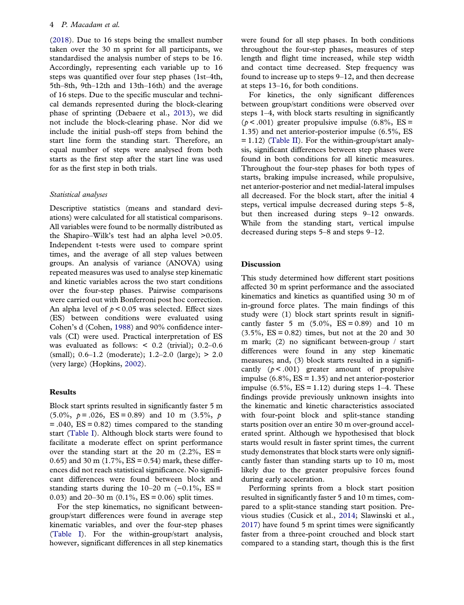#### <span id="page-4-0"></span>4 P. Macadam et al.

([2018\)](#page-8-0). Due to 16 steps being the smallest number taken over the 30 m sprint for all participants, we standardised the analysis number of steps to be 16. Accordingly, representing each variable up to 16 steps was quantified over four step phases (1st–4th, 5th–8th, 9th–12th and 13th–16th) and the average of 16 steps. Due to the specific muscular and technical demands represented during the block-clearing phase of sprinting (Debaere et al., [2013\)](#page-7-0), we did not include the block-clearing phase. Nor did we include the initial push-off steps from behind the start line form the standing start. Therefore, an equal number of steps were analysed from both starts as the first step after the start line was used for as the first step in both trials.

#### Statistical analyses

Descriptive statistics (means and standard deviations) were calculated for all statistical comparisons. All variables were found to be normally distributed as the Shapiro–Wilk's test had an alpha level >0.05. Independent t-tests were used to compare sprint times, and the average of all step values between groups. An analysis of variance (ANOVA) using repeated measures was used to analyse step kinematic and kinetic variables across the two start conditions over the four-step phases. Pairwise comparisons were carried out with Bonferroni post hoc correction. An alpha level of  $p < 0.05$  was selected. Effect sizes (ES) between conditions were evaluated using Cohen's d (Cohen, [1988\)](#page-7-0) and 90% confidence intervals (CI) were used. Practical interpretation of ES was evaluated as follows:  $< 0.2$  (trivial); 0.2-0.6 (small); 0.6–1.2 (moderate); 1.2–2.0 (large); > 2.0 (very large) (Hopkins, [2002\)](#page-7-0).

#### Results

Block start sprints resulted in significantly faster 5 m  $(5.0\%, p = .026, ES = 0.89)$  and 10 m  $(3.5\%, p)$  $= .040, ES = 0.82$  times compared to the standing start [\(Table I\)](#page-5-0). Although block starts were found to facilitate a moderate effect on sprint performance over the standing start at the 20 m  $(2.2\%, ES =$ 0.65) and 30 m  $(1.7\%, ES = 0.54)$  mark, these differences did not reach statistical significance. No significant differences were found between block and standing starts during the 10–20 m  $(-0.1\% , ES =$ 0.03) and 20–30 m (0.1%,  $ES = 0.06$ ) split times.

For the step kinematics, no significant betweengroup/start differences were found in average step kinematic variables, and over the four-step phases ([Table I\)](#page-5-0). For the within-group/start analysis, however, significant differences in all step kinematics were found for all step phases. In both conditions throughout the four-step phases, measures of step length and flight time increased, while step width and contact time decreased. Step frequency was found to increase up to steps 9–12, and then decrease at steps 13–16, for both conditions.

For kinetics, the only significant differences between group/start conditions were observed over steps 1–4, with block starts resulting in significantly  $(p < .001)$  greater propulsive impulse  $(6.8\%, ES =$ 1.35) and net anterior-posterior impulse (6.5%, ES = 1.12) ([Table II](#page-6-0)). For the within-group/start analysis, significant differences between step phases were found in both conditions for all kinetic measures. Throughout the four-step phases for both types of starts, braking impulse increased, while propulsive, net anterior-posterior and net medial-lateral impulses all decreased. For the block start, after the initial 4 steps, vertical impulse decreased during steps 5–8, but then increased during steps 9–12 onwards. While from the standing start, vertical impulse decreased during steps 5–8 and steps 9–12.

#### **Discussion**

This study determined how different start positions affected 30 m sprint performance and the associated kinematics and kinetics as quantified using 30 m of in-ground force plates. The main findings of this study were (1) block start sprints result in significantly faster 5 m  $(5.0\%, ES = 0.89)$  and 10 m  $(3.5\%, ES = 0.82)$  times, but not at the 20 and 30 m mark; (2) no significant between-group / start differences were found in any step kinematic measures; and, (3) block starts resulted in a significantly  $(p < .001)$  greater amount of propulsive impulse  $(6.8\%, ES = 1.35)$  and net anterior-posterior impulse  $(6.5\%, ES = 1.12)$  during steps 1–4. These findings provide previously unknown insights into the kinematic and kinetic characteristics associated with four-point block and split-stance standing starts position over an entire 30 m over-ground accelerated sprint. Although we hypothesised that block starts would result in faster sprint times, the current study demonstrates that block starts were only significantly faster than standing starts up to 10 m, most likely due to the greater propulsive forces found during early acceleration.

Performing sprints from a block start position resulted in significantly faster 5 and 10 m times, compared to a split-stance standing start position. Previous studies (Cusick et al., [2014;](#page-7-0) Slawinski et al., [2017\)](#page-8-0) have found 5 m sprint times were significantly faster from a three-point crouched and block start compared to a standing start, though this is the first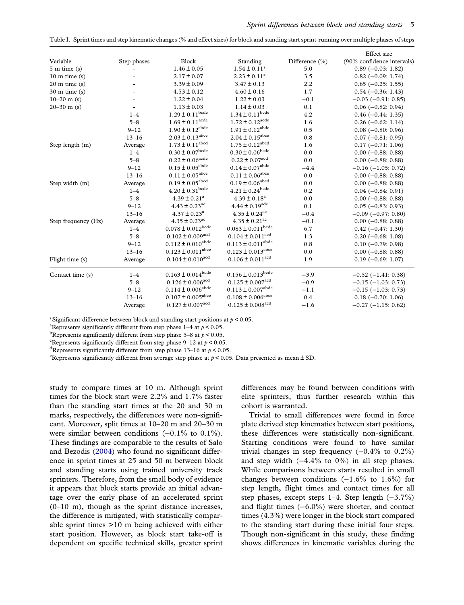<span id="page-5-0"></span>Table I. Sprint times and step kinematic changes (% and effect sizes) for block and standing start sprint-running over multiple phases of steps

|                           |             |                                   |                                   |                | <b>Effect</b> size         |
|---------------------------|-------------|-----------------------------------|-----------------------------------|----------------|----------------------------|
| Variable                  | Step phases | Block                             | Standing                          | Difference (%) | (90% confidence intervals) |
| $5m$ time $(s)$           |             | $1.46 \pm 0.05$                   | $1.54 \pm 0.11^*$                 | 5.0            | $0.89$ ( $-0.03$ : 1.82)   |
| $10 \text{ m}$ time $(s)$ |             | $2.17 \pm 0.07$                   | $2.23 \pm 0.11^*$                 | 3.5            | $0.82$ (-0.09: 1.74)       |
| $20$ m time $(s)$         |             | $3.39 \pm 0.09$                   | $3.47 \pm 0.13$                   | 2.2            | $0.65$ ( $-0.25$ : 1.55)   |
| $30 \text{ m}$ time $(s)$ |             | $4.53 \pm 0.12$                   | $4.60 \pm 0.16$                   | 1.7            | $0.54(-0.36:1.43)$         |
| $10-20$ m (s)             |             | $1.22 \pm 0.04$                   | $1.22 \pm 0.03$                   | $-0.1$         | $-0.03$ ( $-0.91$ : 0.85)  |
| $20 - 30$ m (s)           |             | $1.13 \pm 0.03$                   | $1.14 \pm 0.03$                   | 0.1            | $0.06$ ( $-0.82$ ; 0.94)   |
|                           | $1 - 4$     | $1.29 \pm 0.11$ bcde              | $1.34 \pm 0.11$ bcde              | 4.2            | $0.46$ (-0.44: 1.35)       |
|                           | $5 - 8$     | $1.69 \pm 0.11^{\text{acde}}$     | $1.72 \pm 0.12^{\text{acde}}$     | 1.6            | $0.26(-0.62:1.14)$         |
|                           | $9 - 12$    | $1.90 \pm 0.12^{abc}$             | $1.91 \pm 0.12^{abc}$             | 0.5            | $0.08$ ( $-0.80$ ; 0.96)   |
|                           | $13 - 16$   | $2.03 \pm 0.13$ <sup>abce</sup>   | $2.04 \pm 0.15^{\rm a bce}$       | 0.8            | $0.07$ (-0.81: 0.95)       |
| Step length (m)           | Average     | $1.73 \pm 0.11^{\text{abcd}}$     | $1.75 \pm 0.12$ <sup>abcd</sup>   | 1.6            | $0.17(-0.71:1.06)$         |
|                           | $1 - 4$     | $0.30 \pm 0.07$ <sup>bcde</sup>   | $0.30 \pm 0.06^{\text{bcde}}$     | 0.0            | $0.00 (-0.88: 0.88)$       |
|                           | $5 - 8$     | $0.22 \pm 0.06^{\rm acde}$        | $0.22 \pm 0.07$ <sup>acd</sup>    | 0.0            | $0.00$ ( $-0.88$ ; 0.88)   |
|                           | $9 - 12$    | $0.15 \pm 0.05^{\text{abde}}$     | $0.14 \pm 0.07^{\text{abde}}$     | $-4.4$         | $-0.16$ $(-1.05: 0.72)$    |
|                           | $13 - 16$   | $0.11 \pm 0.05^{\text{abce}}$     | $0.11 \pm 0.06^{\text{abce}}$     | 0.0            | $0.00$ ( $-0.88$ ; 0.88)   |
| Step width (m)            | Average     | $0.19 \pm 0.05$ <sup>abcd</sup>   | $0.19 \pm 0.06$ <sup>abcd</sup>   | 0.0            | $0.00 (-0.88: 0.88)$       |
|                           | $1 - 4$     | $4.20 \pm 0.31$ bcde              | $4.21 \pm 0.24$ bcde              | 0.2            | $0.04 (-0.84: 0.91)$       |
|                           | $5 - 8$     | $4.39 \pm 0.21^a$                 | $4.39 \pm 0.18$ <sup>a</sup>      | 0.0            | $0.00$ ( $-0.88$ ; 0.88)   |
|                           | $9 - 12$    | $4.43 \pm 0.23$ <sup>ae</sup>     | $4.44 \pm 0.19$ <sup>ade</sup>    | 0.1            | $0.05$ ( $-0.83$ ; 0.93)   |
|                           | $13 - 16$   | $4.37 \pm 0.23^a$                 | $4.35 \pm 0.24$ <sup>ac</sup>     | $-0.4$         | $-0.09$ $(-0.97:0.80)$     |
| Step frequency (Hz)       | Average     | $4.35 \pm 0.23$ <sup>ac</sup>     | $4.35 \pm 0.21$ <sup>ac</sup>     | $-0.1$         | $0.00 (-0.88: 0.88)$       |
|                           | $1 - 4$     | $0.078 \pm 0.012$ bcde            | $0.083 \pm 0.011^{\rm bede}$      | 6.7            | $0.42 (-0.47:1.30)$        |
|                           | $5 - 8$     | $0.102 \pm 0.009$ <sup>acd</sup>  | $0.104 \pm 0.011$ <sup>acd</sup>  | 1.3            | $0.20$ (-0.68: 1.08)       |
|                           | $9 - 12$    | $0.112 \pm 0.010^{\rm abde}$      | $0.113 \pm 0.011$ <sup>abde</sup> | 0.8            | $0.10 (-0.79: 0.98)$       |
|                           | $13 - 16$   | $0.123 \pm 0.011$ <sup>abce</sup> | $0.123 \pm 0.013$ <sup>abce</sup> | 0.0            | $0.00$ ( $-0.88$ : 0.88)   |
| Flight time (s)           | Average     | $0.104 \pm 0.010^{\text{acd}}$    | $0.106 \pm 0.011$ <sup>acd</sup>  | 1.9            | $0.19$ (-0.69: 1.07)       |
| Contact time (s)          | $1 - 4$     | $0.163 \pm 0.014^{bcde}$          | $0.156 \pm 0.013$ bcde            | $-3.9$         | $-0.52$ ( $-1.41$ : 0.38)  |
|                           | $5 - 8$     | $0.126 \pm 0.006$ <sup>acd</sup>  | $0.125 \pm 0.007$ <sup>acd</sup>  | $-0.9$         | $-0.15$ ( $-1.03$ : 0.73)  |
|                           | $9 - 12$    | $0.114 \pm 0.006^{\text{abde}}$   | $0.113 \pm 0.007^{\text{abde}}$   | $-1.1$         | $-0.15$ ( $-1.03$ : 0.73)  |
|                           | $13 - 16$   | $0.107 \pm 0.005^{\rm abce}$      | $0.108 \pm 0.006^{\rm abce}$      | 0.4            | $0.18 (-0.70: 1.06)$       |
|                           | Average     | $0.127 \pm 0.007^{\rm acd}$       | $0.125 \pm 0.008$ <sup>acd</sup>  | $-1.6$         | $-0.27$ $(-1.15: 0.62)$    |

\*Significant difference between block and standing start positions at  $p < 0.05$ .

<sup>a</sup>Represents significantly different from step phase 1–4 at  $p < 0.05$ .<br><sup>b</sup>Represents significantly different from step phase 5, 8 at  $p < 0.05$ .

<sup>b</sup>Represents significantly different from step phase 5–8 at  $p < 0.05$ .

Expresents significantly different from step phase  $9-12$  at  $p < 0.05$ .<br><sup>d</sup>Represents significantly different from step phase 13, 16 at  $p < 0.01$ 

<sup>d</sup>Represents significantly different from step phase 13–16 at  $p < 0.05$ .

<sup>e</sup>Represents significantly different from average step phase at  $p < 0.05$ . Data presented as mean  $\pm$  SD.

study to compare times at 10 m. Although sprint times for the block start were 2.2% and 1.7% faster than the standing start times at the 20 and 30 m marks, respectively, the differences were non-significant. Moreover, split times at 10–20 m and 20–30 m were similar between conditions  $(-0.1\% \text{ to } 0.1\%).$ These findings are comparable to the results of Salo and Bezodis [\(2004\)](#page-8-0) who found no significant difference in sprint times at 25 and 50 m between block and standing starts using trained university track sprinters. Therefore, from the small body of evidence it appears that block starts provide an initial advantage over the early phase of an accelerated sprint (0–10 m), though as the sprint distance increases, the difference is mitigated, with statistically comparable sprint times >10 m being achieved with either start position. However, as block start take-off is dependent on specific technical skills, greater sprint differences may be found between conditions with elite sprinters, thus further research within this cohort is warranted.

Trivial to small differences were found in force plate derived step kinematics between start positions, these differences were statistically non-significant. Starting conditions were found to have similar trivial changes in step frequency  $(-0.4\%$  to  $0.2\%)$ and step width  $(-4.4\%$  to 0%) in all step phases. While comparisons between starts resulted in small changes between conditions (−1.6% to 1.6%) for step length, flight times and contact times for all step phases, except steps 1–4. Step length (−3.7%) and flight times (−6.0%) were shorter, and contact times (4.3%) were longer in the block start compared to the standing start during these initial four steps. Though non-significant in this study, these finding shows differences in kinematic variables during the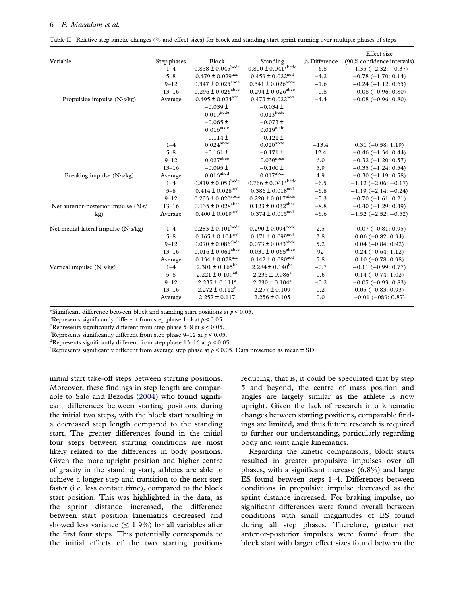#### <span id="page-6-0"></span>6 P. Macadam et al.

|  | Table II. Relative step kinetic changes (% and effect sizes) for block and standing start sprint-running over multiple phases of steps |  |  |  |  |  |  |  |  |  |  |  |  |
|--|----------------------------------------------------------------------------------------------------------------------------------------|--|--|--|--|--|--|--|--|--|--|--|--|
|--|----------------------------------------------------------------------------------------------------------------------------------------|--|--|--|--|--|--|--|--|--|--|--|--|

| Variable<br>Propulsive impulse $(N \cdot s/kg)$                                  | Step phases<br>$1 - 4$<br>$5 - 8$<br>$9 - 12$<br>$13 - 16$<br>Average                                            | Block<br>$0.858 \pm 0.045^{\rm bede}$<br>$0.479 \pm 0.029$ <sup>acd</sup><br>$0.347 \pm 0.025^{\text{abde}}$<br>$0.296 \pm 0.026^{\text{abc}}$<br>$0.495 \pm 0.024$ <sup>acd</sup><br>$-0.039 \pm$<br>$0.019$ bcde<br>$-0.065 \pm$<br>$0.016^{\rm acde}$<br>$-0.114 \pm$                                         | Standing<br>$0.800 \pm 0.041^{*\rm bede}$<br>$0.459 \pm 0.022$ <sup>acd</sup><br>$0.341 \pm 0.026^{\text{abde}}$<br>$0.294 \pm 0.026^{\text{abc}}$<br>$0.473 \pm 0.022$ <sup>acd</sup><br>$-0.034 \pm$<br>$0.013$ bcde<br>$-0.073 \pm$<br>$0.019$ acde<br>$-0.121 \pm$                         | % Difference<br>$-6.8$<br>$-4.2$<br>$-1.6$<br>$-0.8$<br>$-4.4$                         | <b>Effect</b> size<br>(90% confidence intervals)<br>$-1.35$ ( $-2.32$ : $-0.37$ )<br>$-0.78$ ( $-1.70$ ; 0.14)<br>$-0.24$ $(-1.12; 0.65)$<br>$-0.08$ $(-0.96; 0.80)$<br>$-0.08$ $(-0.96; 0.80)$                                                                                               |
|----------------------------------------------------------------------------------|------------------------------------------------------------------------------------------------------------------|------------------------------------------------------------------------------------------------------------------------------------------------------------------------------------------------------------------------------------------------------------------------------------------------------------------|------------------------------------------------------------------------------------------------------------------------------------------------------------------------------------------------------------------------------------------------------------------------------------------------|----------------------------------------------------------------------------------------|-----------------------------------------------------------------------------------------------------------------------------------------------------------------------------------------------------------------------------------------------------------------------------------------------|
| Breaking impulse $(N \cdot s/kg)$<br>Net anterior-posterior impulse (N·s/<br>kg) | $1 - 4$<br>$5 - 8$<br>$9 - 12$<br>$13 - 16$<br>Average<br>$1 - 4$<br>$5 - 8$<br>$9 - 12$<br>$13 - 16$<br>Average | $0.024$ <sup>abde</sup><br>$-0.161 \pm$<br>$0.027$ <sup>abce</sup><br>$-0.095 \pm$<br>$0.016^{\mathrm{abcd}}$<br>$0.819 \pm 0.053$ bcde<br>$0.414 \pm 0.028$ <sup>acd</sup><br>$0.233 \pm 0.020$ <sup>abde</sup><br>$0.135 \pm 0.028$ <sup>abce</sup><br>$0.400 \pm 0.019$ <sup>acd</sup>                        | 0.020 <sup>abde</sup><br>$-0.171 \pm$<br>$0.030$ <sup>abce</sup><br>$-0.100 \pm$<br>$0.017^{\rm abcd}$<br>$0.766 \pm 0.041^{*\text{bcde}}$<br>$0.386 \pm 0.018^{\text{acd}}$<br>$0.220 \pm 0.017^{\text{abde}}$<br>$0.123 \pm 0.032^{\text{abce}}$<br>$0.374 \pm 0.015$ <sup>acd</sup>         | $-13.4$<br>12.4<br>6.0<br>5.9<br>4.9<br>$-6.5$<br>$-6.8$<br>$-5.3$<br>$-8.8$<br>$-6.6$ | $0.31(-0.58:1.19)$<br>$-0.46$ ( $-1.34$ ; 0.44)<br>$-0.32$ ( $-1.20$ ; 0.57)<br>$-0.35$ $(-1.24: 0.54)$<br>$-0.30$ $(-1.19: 0.58)$<br>$-1.12$ ( $-2.06$ : $-0.17$ )<br>$-1.19$ ( $-2.14$ : $-0.24$ )<br>$-0.70$ $(-1.61; 0.21)$<br>$-0.40$ ( $-1.29$ ; 0.49)<br>$-1.52$ ( $-2.52$ : $-0.52$ ) |
| Net medial-lateral impulse $(N·s/kg)$<br>Vertical impulse $(N·s/kg)$             | $1 - 4$<br>$5 - 8$<br>$9 - 12$<br>$13 - 16$<br>Average<br>$1 - 4$<br>$5 - 8$<br>$9 - 12$<br>$13 - 16$<br>Average | $0.283 \pm 0.101$ <sup>bcde</sup><br>$0.165 \pm 0.104$ <sup>acd</sup><br>$0.070 \pm 0.086^{\rm abde}$<br>$0.016 \pm 0.061^{\text{a}bce}$<br>$0.134 \pm 0.078$ <sup>acd</sup><br>$2.301 \pm 0.165^{\rm bc}$<br>$2.221 \pm 0.109$ <sup>ad</sup><br>$2.235 \pm 0.111^a$<br>$2.272 \pm 0.112^b$<br>$2.257 \pm 0.117$ | $0.290 \pm 0.094^{\rm bede}$<br>$0.171 \pm 0.099$ <sup>acd</sup><br>$0.073 \pm 0.083^{\text{abde}}$<br>$0.031 \pm 0.065^{\text{a}bce}$<br>$0.142 \pm 0.080^{\text{acd}}$<br>$2.284 \pm 0.140^{\rm bc}$<br>$2.235 \pm 0.086^a$<br>$2.230 \pm 0.104^a$<br>$2.277 \pm 0.109$<br>$2.256 \pm 0.105$ | 2.5<br>3.8<br>5.2<br>92<br>5.8<br>$-0.7$<br>0.6<br>$-0.2$<br>0.2<br>0.0                | $0.07$ (-0.81: 0.95)<br>$0.06$ ( $-0.82$ ; 0.94)<br>$0.04 (-0.84: 0.92)$<br>$0.24 (-0.64; 1.12)$<br>$0.10$ (-0.78: 0.98)<br>$-0.11$ $(-0.99: 0.77)$<br>$0.14(-0.74:1.02)$<br>$-0.05$ $(-0.93: 0.83)$<br>$0.05$ ( $-0.83$ ; 0.93)<br>$-0.01$ ( $-089: 0.87$ )                                  |

\*Significant difference between block and standing start positions at  $p < 0.05$ .

<sup>a</sup>Represents significantly different from step phase 1–4 at  $p < 0.05$ .

<sup>b</sup>Represents significantly different from step phase 5–8 at  $p < 0.05$ .<br><sup>C</sup>Represents significantly different from step phase 0, 12 at  $p < 0.05$ .

<sup>c</sup>Represents significantly different from step phase 9–12 at  $p < 0.05$ .

<sup>d</sup>Represents significantly different from step phase 13–16 at  $p < 0.05$ .<br><sup>e</sup>Represents significantly different from systems than a base at  $p < 0.05$ .

<sup>e</sup>Represents significantly different from average step phase at  $p < 0.05$ . Data presented as mean  $\pm$  SD.

initial start take-off steps between starting positions. Moreover, these findings in step length are comparable to Salo and Bezodis ([2004](#page-8-0)) who found significant differences between starting positions during the initial two steps, with the block start resulting in a decreased step length compared to the standing start. The greater differences found in the initial four steps between starting conditions are most likely related to the differences in body positions. Given the more upright position and higher centre of gravity in the standing start, athletes are able to achieve a longer step and transition to the next step faster (i.e. less contact time), compared to the block start position. This was highlighted in the data, as the sprint distance increased, the difference between start position kinematics decreased and showed less variance  $( \leq 1.9\%)$  for all variables after the first four steps. This potentially corresponds to the initial effects of the two starting positions

reducing, that is, it could be speculated that by step 5 and beyond, the centre of mass position and angles are largely similar as the athlete is now upright. Given the lack of research into kinematic changes between starting positions, comparable findings are limited, and thus future research is required to further our understanding, particularly regarding body and joint angle kinematics.

Regarding the kinetic comparisons, block starts resulted in greater propulsive impulses over all phases, with a significant increase (6.8%) and large ES found between steps 1–4. Differences between conditions in propulsive impulse decreased as the sprint distance increased. For braking impulse, no significant differences were found overall between conditions with small magnitudes of ES found during all step phases. Therefore, greater net anterior-posterior impulses were found from the block start with larger effect sizes found between the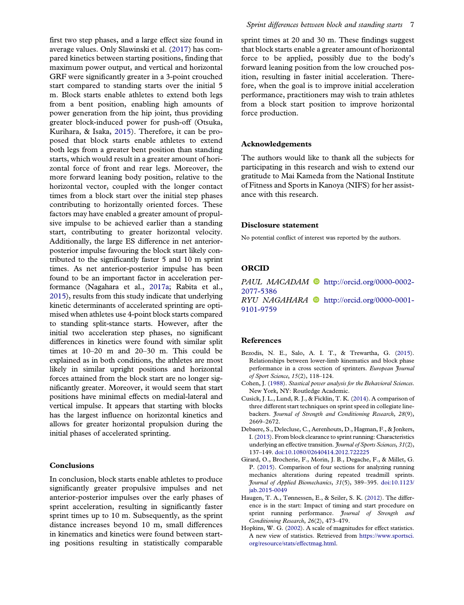<span id="page-7-0"></span>first two step phases, and a large effect size found in average values. Only Slawinski et al. ([2017](#page-8-0)) has compared kinetics between starting positions, finding that maximum power output, and vertical and horizontal GRF were significantly greater in a 3-point crouched start compared to standing starts over the initial 5 m. Block starts enable athletes to extend both legs from a bent position, enabling high amounts of power generation from the hip joint, thus providing greater block-induced power for push-off (Otsuka, Kurihara, & Isaka, [2015](#page-8-0)). Therefore, it can be proposed that block starts enable athletes to extend both legs from a greater bent position than standing starts, which would result in a greater amount of horizontal force of front and rear legs. Moreover, the more forward leaning body position, relative to the horizontal vector, coupled with the longer contact times from a block start over the initial step phases contributing to horizontally oriented forces. These factors may have enabled a greater amount of propulsive impulse to be achieved earlier than a standing start, contributing to greater horizontal velocity. Additionally, the large ES difference in net anteriorposterior impulse favouring the block start likely contributed to the significantly faster 5 and 10 m sprint times. As net anterior-posterior impulse has been found to be an important factor in acceleration performance (Nagahara et al., [2017a;](#page-8-0) Rabita et al., [2015\)](#page-8-0), results from this study indicate that underlying kinetic determinants of accelerated sprinting are optimised when athletes use 4-point block starts compared to standing split-stance starts. However, after the initial two acceleration step phases, no significant differences in kinetics were found with similar split times at 10–20 m and 20–30 m. This could be explained as in both conditions, the athletes are most likely in similar upright positions and horizontal forces attained from the block start are no longer significantly greater. Moreover, it would seem that start positions have minimal effects on medial-lateral and vertical impulse. It appears that starting with blocks has the largest influence on horizontal kinetics and allows for greater horizontal propulsion during the initial phases of accelerated sprinting.

#### Conclusions

In conclusion, block starts enable athletes to produce significantly greater propulsive impulses and net anterior-posterior impulses over the early phases of sprint acceleration, resulting in significantly faster sprint times up to 10 m. Subsequently, as the sprint distance increases beyond 10 m, small differences in kinematics and kinetics were found between starting positions resulting in statistically comparable

sprint times at 20 and 30 m. These findings suggest that block starts enable a greater amount of horizontal force to be applied, possibly due to the body's forward leaning position from the low crouched position, resulting in faster initial acceleration. Therefore, when the goal is to improve initial acceleration performance, practitioners may wish to train athletes from a block start position to improve horizontal force production.

#### Acknowledgements

The authors would like to thank all the subjects for participating in this research and wish to extend our gratitude to Mai Kameda from the National Institute of Fitness and Sports in Kanoya (NIFS) for her assistance with this research.

#### Disclosure statement

No potential conflict of interest was reported by the authors.

#### ORCID

PAUL MACADAM [http://orcid.org/0000-0002-](http://orcid.org/0000-0002-2077-5386) [2077-5386](http://orcid.org/0000-0002-2077-5386) RYU NAGAHARA [http://orcid.org/0000-0001-](http://orcid.org/0000-0001-9101-9759) [9101-9759](http://orcid.org/0000-0001-9101-9759)

#### References

- Bezodis, N. E., Salo, A. I. T., & Trewartha, G. ([2015\)](#page-1-0). Relationships between lower-limb kinematics and block phase performance in a cross section of sprinters. European Journal of Sport Science, 15(2), 118–124.
- Cohen, J. ([1988\)](#page-4-0). Stastical power analysis for the Behavioral Sciences. New York, NY: Routledge Academic.
- Cusick, J. L., Lund, R. J., & Ficklin, T. K. ([2014](#page-2-0)). A comparison of three different start techniques on sprint speed in collegiate linebackers. Journal of Strength and Conditioning Research, 28(9), 2669–2672.
- Debaere, S., Delecluse, C., Aerenhouts, D., Hagman, F., & Jonkers, I. [\(2013](#page-2-0)). From block clearance to sprint running: Characteristics underlying an effective transition. Journal of Sports Sciences, 31(2), 137–149. [doi:10.1080/02640414.2012.722225](https://doi.org/10.1080/02640414.2012.722225)
- Girard, O., Brocherie, F., Morin, J. B., Degache, F., & Millet, G. P. ([2015\)](#page-3-0). Comparison of four sections for analyzing running mechanics alterations during repeated treadmill sprints. Journal of Applied Biomechanics, 31(5), 389–395. [doi:10.1123/](https://doi.org/10.1123/jab.2015-0049) [jab.2015-0049](https://doi.org/10.1123/jab.2015-0049)
- Haugen, T. A., Tønnessen, E., & Seiler, S. K. ([2012](#page-2-0)). The difference is in the start: Impact of timing and start procedure on sprint running performance. Journal of Strength and Conditioning Research, 26(2), 473–479.
- Hopkins, W. G. [\(2002\)](#page-4-0). A scale of magnitudes for effect statistics. A new view of statistics. Retrieved from [https://www.sportsci.](https://www.sportsci.org/resource/stats/effectmag.html) [org/resource/stats/effectmag.html](https://www.sportsci.org/resource/stats/effectmag.html).